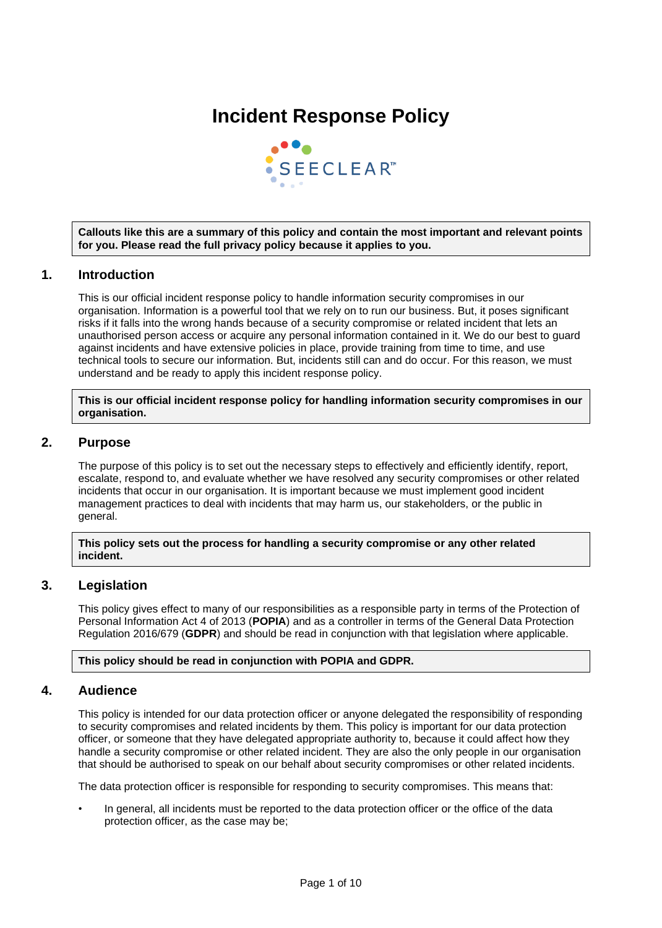# **Incident Response Policy**



**Callouts like this are a summary of this policy and contain the most important and relevant points for you. Please read the full privacy policy because it applies to you.**

# **1. Introduction**

This is our official incident response policy to handle information security compromises in our organisation. Information is a powerful tool that we rely on to run our business. But, it poses significant risks if it falls into the wrong hands because of a security compromise or related incident that lets an unauthorised person access or acquire any personal information contained in it. We do our best to guard against incidents and have extensive policies in place, provide training from time to time, and use technical tools to secure our information. But, incidents still can and do occur. For this reason, we must understand and be ready to apply this incident response policy.

**This is our official incident response policy for handling information security compromises in our organisation.**

# **2. Purpose**

The purpose of this policy is to set out the necessary steps to effectively and efficiently identify, report, escalate, respond to, and evaluate whether we have resolved any security compromises or other related incidents that occur in our organisation. It is important because we must implement good incident management practices to deal with incidents that may harm us, our stakeholders, or the public in general.

#### **This policy sets out the process for handling a security compromise or any other related incident.**

# **3. Legislation**

This policy gives effect to many of our responsibilities as a responsible party in terms of the Protection of Personal Information Act 4 of 2013 (**POPIA**) and as a controller in terms of the General Data Protection Regulation 2016/679 (**GDPR**) and should be read in conjunction with that legislation where applicable.

# **This policy should be read in conjunction with POPIA and GDPR.**

# **4. Audience**

This policy is intended for our data protection officer or anyone delegated the responsibility of responding to security compromises and related incidents by them. This policy is important for our data protection officer, or someone that they have delegated appropriate authority to, because it could affect how they handle a security compromise or other related incident. They are also the only people in our organisation that should be authorised to speak on our behalf about security compromises or other related incidents.

The data protection officer is responsible for responding to security compromises. This means that:

In general, all incidents must be reported to the data protection officer or the office of the data protection officer, as the case may be;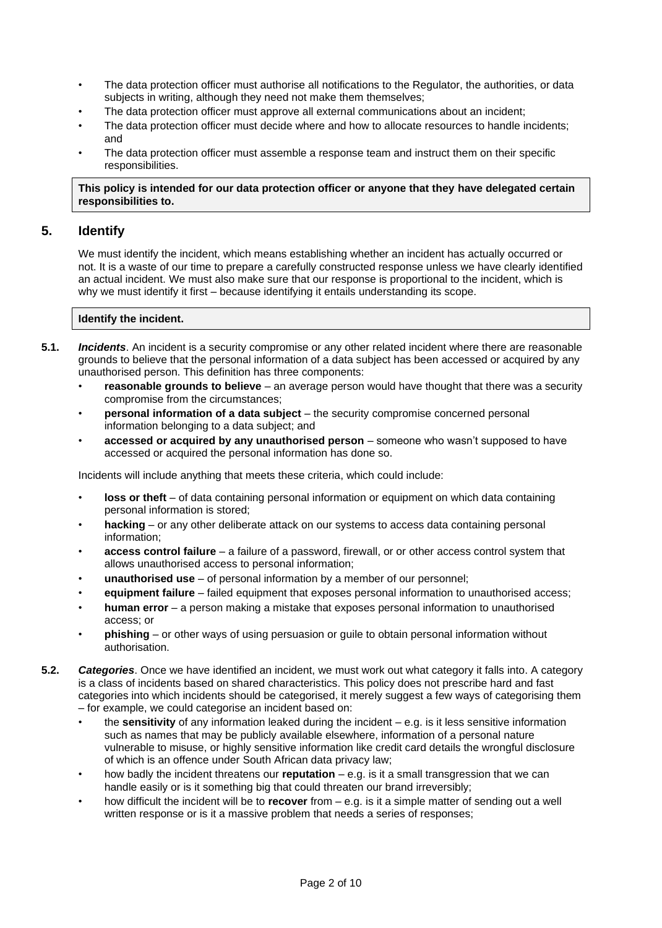- The data protection officer must authorise all notifications to the Regulator, the authorities, or data subjects in writing, although they need not make them themselves;
- The data protection officer must approve all external communications about an incident;
- The data protection officer must decide where and how to allocate resources to handle incidents; and
- The data protection officer must assemble a response team and instruct them on their specific responsibilities.

## **This policy is intended for our data protection officer or anyone that they have delegated certain responsibilities to.**

# **5. Identify**

We must identify the incident, which means establishing whether an incident has actually occurred or not. It is a waste of our time to prepare a carefully constructed response unless we have clearly identified an actual incident. We must also make sure that our response is proportional to the incident, which is why we must identify it first – because identifying it entails understanding its scope.

# **Identify the incident.**

- **5.1.** *Incidents*. An incident is a security compromise or any other related incident where there are reasonable grounds to believe that the personal information of a data subject has been accessed or acquired by any unauthorised person. This definition has three components:
	- **reasonable grounds to believe** an average person would have thought that there was a security compromise from the circumstances;
	- **personal information of a data subject** the security compromise concerned personal information belonging to a data subject; and
	- **accessed or acquired by any unauthorised person** someone who wasn't supposed to have accessed or acquired the personal information has done so.

Incidents will include anything that meets these criteria, which could include:

- **loss or theft** of data containing personal information or equipment on which data containing personal information is stored;
- **hacking** or any other deliberate attack on our systems to access data containing personal information;
- **access control failure** a failure of a password, firewall, or or other access control system that allows unauthorised access to personal information;
- **unauthorised use** of personal information by a member of our personnel;
- **equipment failure** failed equipment that exposes personal information to unauthorised access;
- **human error** a person making a mistake that exposes personal information to unauthorised access; or
- **phishing** or other ways of using persuasion or guile to obtain personal information without authorisation.
- **5.2.** *Categories*. Once we have identified an incident, we must work out what category it falls into. A category is a class of incidents based on shared characteristics. This policy does not prescribe hard and fast categories into which incidents should be categorised, it merely suggest a few ways of categorising them – for example, we could categorise an incident based on:
	- the **sensitivity** of any information leaked during the incident e.g. is it less sensitive information such as names that may be publicly available elsewhere, information of a personal nature vulnerable to misuse, or highly sensitive information like credit card details the wrongful disclosure of which is an offence under South African data privacy law;
	- how badly the incident threatens our **reputation** e.g. is it a small transgression that we can handle easily or is it something big that could threaten our brand irreversibly;
	- how difficult the incident will be to **recover** from e.g. is it a simple matter of sending out a well written response or is it a massive problem that needs a series of responses;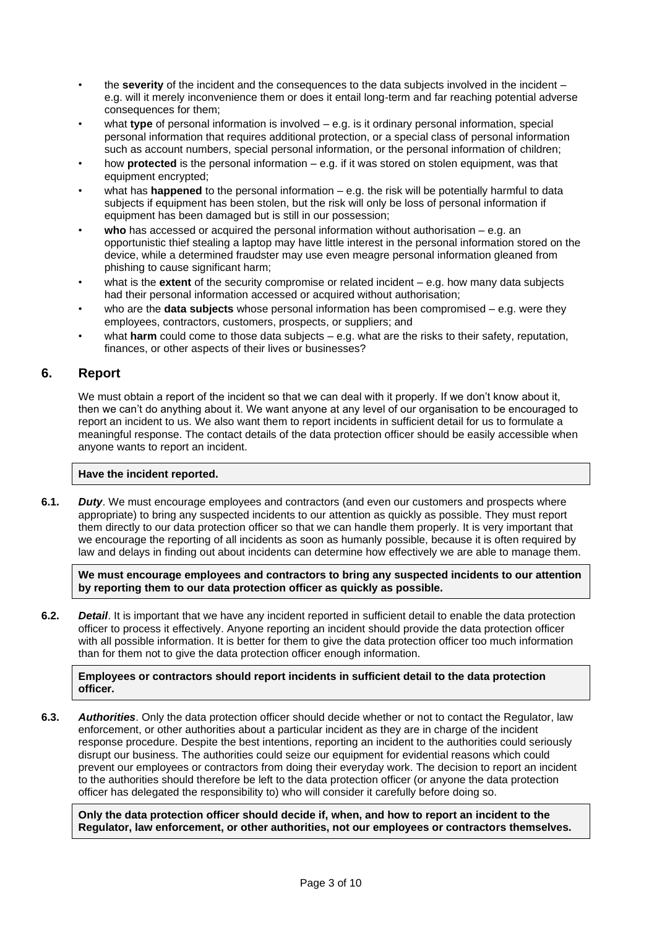- the **severity** of the incident and the consequences to the data subjects involved in the incident e.g. will it merely inconvenience them or does it entail long-term and far reaching potential adverse consequences for them;
- what **type** of personal information is involved e.g. is it ordinary personal information, special personal information that requires additional protection, or a special class of personal information such as account numbers, special personal information, or the personal information of children;
- how **protected** is the personal information e.g. if it was stored on stolen equipment, was that equipment encrypted;
- what has **happened** to the personal information e.g. the risk will be potentially harmful to data subjects if equipment has been stolen, but the risk will only be loss of personal information if equipment has been damaged but is still in our possession;
- **who** has accessed or acquired the personal information without authorisation e.g. an opportunistic thief stealing a laptop may have little interest in the personal information stored on the device, while a determined fraudster may use even meagre personal information gleaned from phishing to cause significant harm;
- what is the **extent** of the security compromise or related incident e.g. how many data subjects had their personal information accessed or acquired without authorisation;
- who are the **data subjects** whose personal information has been compromised e.g. were they employees, contractors, customers, prospects, or suppliers; and
- what **harm** could come to those data subjects e.g. what are the risks to their safety, reputation, finances, or other aspects of their lives or businesses?

# **6. Report**

We must obtain a report of the incident so that we can deal with it properly. If we don't know about it, then we can't do anything about it. We want anyone at any level of our organisation to be encouraged to report an incident to us. We also want them to report incidents in sufficient detail for us to formulate a meaningful response. The contact details of the data protection officer should be easily accessible when anyone wants to report an incident.

# **Have the incident reported.**

**6.1.** *Duty*. We must encourage employees and contractors (and even our customers and prospects where appropriate) to bring any suspected incidents to our attention as quickly as possible. They must report them directly to our data protection officer so that we can handle them properly. It is very important that we encourage the reporting of all incidents as soon as humanly possible, because it is often required by law and delays in finding out about incidents can determine how effectively we are able to manage them.

**We must encourage employees and contractors to bring any suspected incidents to our attention by reporting them to our data protection officer as quickly as possible.**

**6.2.** *Detail*. It is important that we have any incident reported in sufficient detail to enable the data protection officer to process it effectively. Anyone reporting an incident should provide the data protection officer with all possible information. It is better for them to give the data protection officer too much information than for them not to give the data protection officer enough information.

## **Employees or contractors should report incidents in sufficient detail to the data protection officer.**

**6.3.** *Authorities*. Only the data protection officer should decide whether or not to contact the Regulator, law enforcement, or other authorities about a particular incident as they are in charge of the incident response procedure. Despite the best intentions, reporting an incident to the authorities could seriously disrupt our business. The authorities could seize our equipment for evidential reasons which could prevent our employees or contractors from doing their everyday work. The decision to report an incident to the authorities should therefore be left to the data protection officer (or anyone the data protection officer has delegated the responsibility to) who will consider it carefully before doing so.

**Only the data protection officer should decide if, when, and how to report an incident to the Regulator, law enforcement, or other authorities, not our employees or contractors themselves.**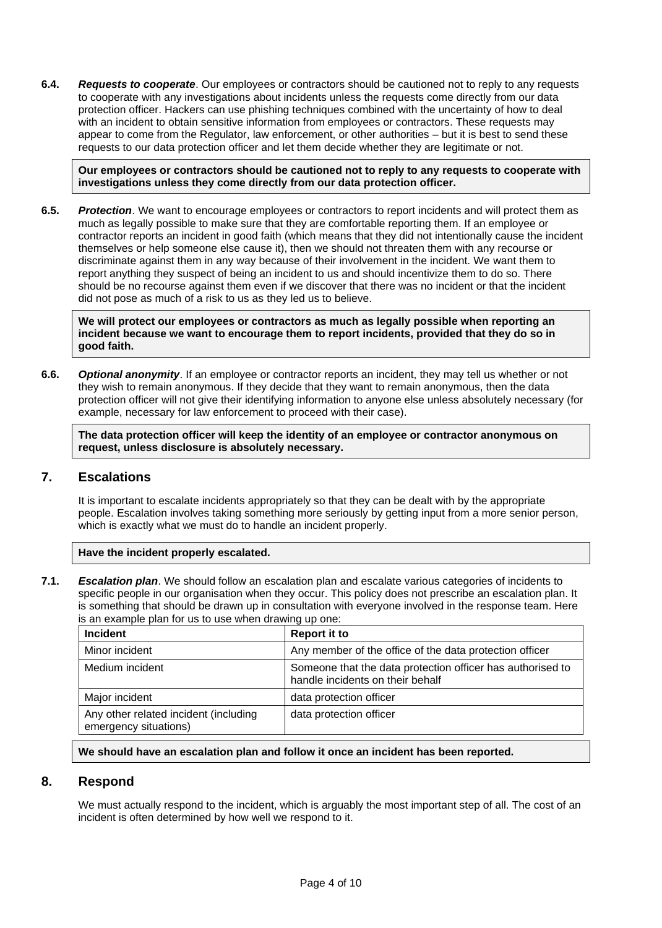**6.4.** *Requests to cooperate*. Our employees or contractors should be cautioned not to reply to any requests to cooperate with any investigations about incidents unless the requests come directly from our data protection officer. Hackers can use phishing techniques combined with the uncertainty of how to deal with an incident to obtain sensitive information from employees or contractors. These requests may appear to come from the Regulator, law enforcement, or other authorities – but it is best to send these requests to our data protection officer and let them decide whether they are legitimate or not.

**Our employees or contractors should be cautioned not to reply to any requests to cooperate with investigations unless they come directly from our data protection officer.**

**6.5.** *Protection*. We want to encourage employees or contractors to report incidents and will protect them as much as legally possible to make sure that they are comfortable reporting them. If an employee or contractor reports an incident in good faith (which means that they did not intentionally cause the incident themselves or help someone else cause it), then we should not threaten them with any recourse or discriminate against them in any way because of their involvement in the incident. We want them to report anything they suspect of being an incident to us and should incentivize them to do so. There should be no recourse against them even if we discover that there was no incident or that the incident did not pose as much of a risk to us as they led us to believe.

**We will protect our employees or contractors as much as legally possible when reporting an incident because we want to encourage them to report incidents, provided that they do so in good faith.**

**6.6.** *Optional anonymity*. If an employee or contractor reports an incident, they may tell us whether or not they wish to remain anonymous. If they decide that they want to remain anonymous, then the data protection officer will not give their identifying information to anyone else unless absolutely necessary (for example, necessary for law enforcement to proceed with their case).

**The data protection officer will keep the identity of an employee or contractor anonymous on request, unless disclosure is absolutely necessary.**

# **7. Escalations**

It is important to escalate incidents appropriately so that they can be dealt with by the appropriate people. Escalation involves taking something more seriously by getting input from a more senior person, which is exactly what we must do to handle an incident properly.

#### **Have the incident properly escalated.**

**7.1.** *Escalation plan*. We should follow an escalation plan and escalate various categories of incidents to specific people in our organisation when they occur. This policy does not prescribe an escalation plan. It is something that should be drawn up in consultation with everyone involved in the response team. Here is an example plan for us to use when drawing up one:

| <b>Incident</b>                                                | <b>Report it to</b>                                                                            |
|----------------------------------------------------------------|------------------------------------------------------------------------------------------------|
| Minor incident                                                 | Any member of the office of the data protection officer                                        |
| Medium incident                                                | Someone that the data protection officer has authorised to<br>handle incidents on their behalf |
| Major incident                                                 | data protection officer                                                                        |
| Any other related incident (including<br>emergency situations) | data protection officer                                                                        |

#### **We should have an escalation plan and follow it once an incident has been reported.**

# **8. Respond**

We must actually respond to the incident, which is arguably the most important step of all. The cost of an incident is often determined by how well we respond to it.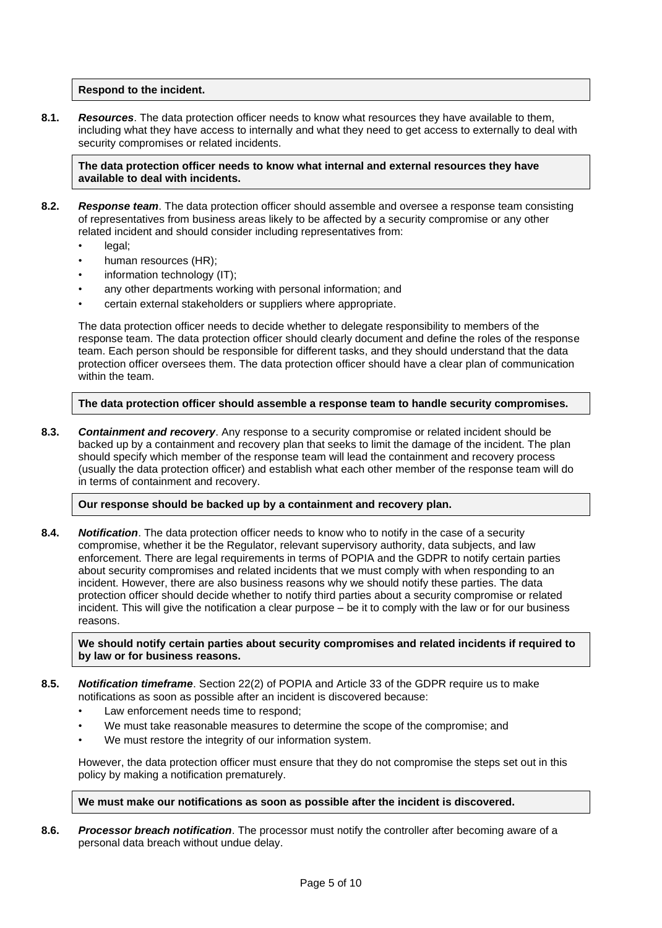## **Respond to the incident.**

**8.1.** *Resources*. The data protection officer needs to know what resources they have available to them, including what they have access to internally and what they need to get access to externally to deal with security compromises or related incidents.

**The data protection officer needs to know what internal and external resources they have available to deal with incidents.**

- **8.2.** *Response team*. The data protection officer should assemble and oversee a response team consisting of representatives from business areas likely to be affected by a security compromise or any other related incident and should consider including representatives from:
	- legal:
	- human resources (HR);
	- information technology (IT);
	- any other departments working with personal information; and
	- certain external stakeholders or suppliers where appropriate.

The data protection officer needs to decide whether to delegate responsibility to members of the response team. The data protection officer should clearly document and define the roles of the response team. Each person should be responsible for different tasks, and they should understand that the data protection officer oversees them. The data protection officer should have a clear plan of communication within the team.

#### **The data protection officer should assemble a response team to handle security compromises.**

**8.3.** *Containment and recovery*. Any response to a security compromise or related incident should be backed up by a containment and recovery plan that seeks to limit the damage of the incident. The plan should specify which member of the response team will lead the containment and recovery process (usually the data protection officer) and establish what each other member of the response team will do in terms of containment and recovery.

#### **Our response should be backed up by a containment and recovery plan.**

**8.4.** *Notification*. The data protection officer needs to know who to notify in the case of a security compromise, whether it be the Regulator, relevant supervisory authority, data subjects, and law enforcement. There are legal requirements in terms of POPIA and the GDPR to notify certain parties about security compromises and related incidents that we must comply with when responding to an incident. However, there are also business reasons why we should notify these parties. The data protection officer should decide whether to notify third parties about a security compromise or related incident. This will give the notification a clear purpose – be it to comply with the law or for our business reasons.

#### **We should notify certain parties about security compromises and related incidents if required to by law or for business reasons.**

#### **8.5.** *Notification timeframe*. Section 22(2) of POPIA and Article 33 of the GDPR require us to make notifications as soon as possible after an incident is discovered because:

- Law enforcement needs time to respond;
- We must take reasonable measures to determine the scope of the compromise; and
- We must restore the integrity of our information system.

However, the data protection officer must ensure that they do not compromise the steps set out in this policy by making a notification prematurely.

#### **We must make our notifications as soon as possible after the incident is discovered.**

**8.6.** *Processor breach notification*. The processor must notify the controller after becoming aware of a personal data breach without undue delay.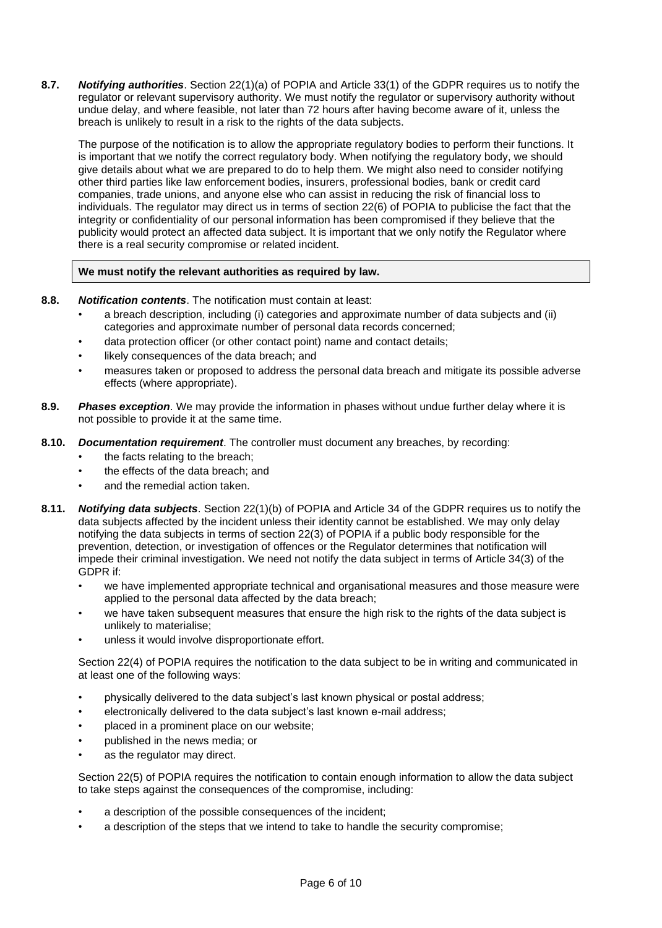**8.7.** *Notifying authorities*. Section 22(1)(a) of POPIA and Article 33(1) of the GDPR requires us to notify the regulator or relevant supervisory authority. We must notify the regulator or supervisory authority without undue delay, and where feasible, not later than 72 hours after having become aware of it, unless the breach is unlikely to result in a risk to the rights of the data subjects.

The purpose of the notification is to allow the appropriate regulatory bodies to perform their functions. It is important that we notify the correct regulatory body. When notifying the regulatory body, we should give details about what we are prepared to do to help them. We might also need to consider notifying other third parties like law enforcement bodies, insurers, professional bodies, bank or credit card companies, trade unions, and anyone else who can assist in reducing the risk of financial loss to individuals. The regulator may direct us in terms of section 22(6) of POPIA to publicise the fact that the integrity or confidentiality of our personal information has been compromised if they believe that the publicity would protect an affected data subject. It is important that we only notify the Regulator where there is a real security compromise or related incident.

## **We must notify the relevant authorities as required by law.**

- **8.8.** *Notification contents*. The notification must contain at least:
	- a breach description, including (i) categories and approximate number of data subjects and (ii) categories and approximate number of personal data records concerned;
	- data protection officer (or other contact point) name and contact details;
	- likely consequences of the data breach; and
	- measures taken or proposed to address the personal data breach and mitigate its possible adverse effects (where appropriate).
- **8.9.** *Phases exception*. We may provide the information in phases without undue further delay where it is not possible to provide it at the same time.
- **8.10.** *Documentation requirement*. The controller must document any breaches, by recording:
	- the facts relating to the breach;
	- the effects of the data breach; and
	- and the remedial action taken.
- **8.11.** *Notifying data subjects*. Section 22(1)(b) of POPIA and Article 34 of the GDPR requires us to notify the data subjects affected by the incident unless their identity cannot be established. We may only delay notifying the data subjects in terms of section 22(3) of POPIA if a public body responsible for the prevention, detection, or investigation of offences or the Regulator determines that notification will impede their criminal investigation. We need not notify the data subject in terms of Article 34(3) of the GDPR if:
	- we have implemented appropriate technical and organisational measures and those measure were applied to the personal data affected by the data breach;
	- we have taken subsequent measures that ensure the high risk to the rights of the data subject is unlikely to materialise;
	- unless it would involve disproportionate effort.

Section 22(4) of POPIA requires the notification to the data subject to be in writing and communicated in at least one of the following ways:

- physically delivered to the data subject's last known physical or postal address;
- electronically delivered to the data subject's last known e-mail address;
- placed in a prominent place on our website;
- published in the news media; or
- as the regulator may direct.

Section 22(5) of POPIA requires the notification to contain enough information to allow the data subject to take steps against the consequences of the compromise, including:

- a description of the possible consequences of the incident;
- a description of the steps that we intend to take to handle the security compromise;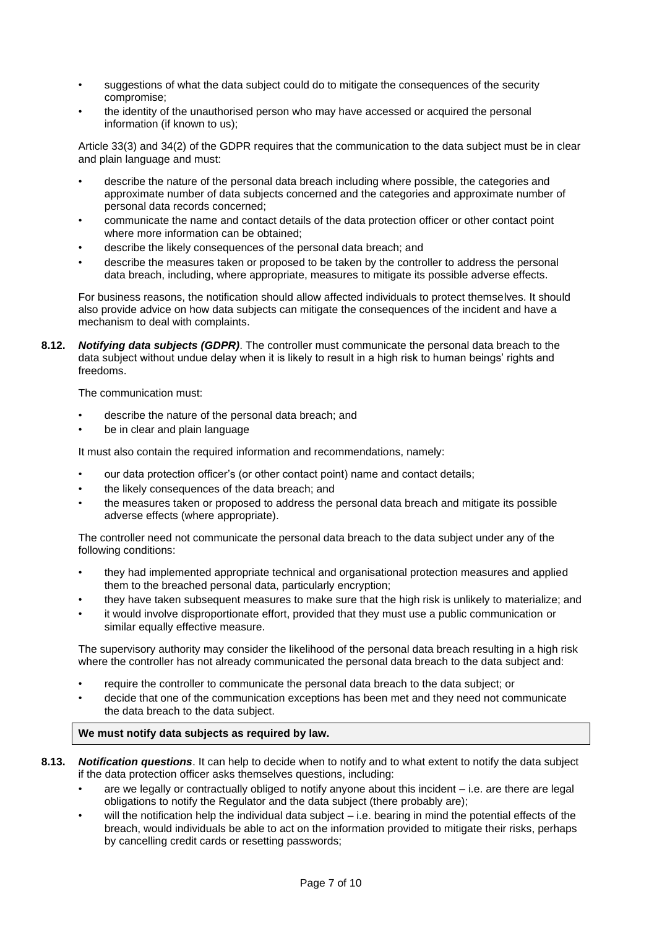- suggestions of what the data subject could do to mitigate the consequences of the security compromise;
- the identity of the unauthorised person who may have accessed or acquired the personal information (if known to us);

Article 33(3) and 34(2) of the GDPR requires that the communication to the data subject must be in clear and plain language and must:

- describe the nature of the personal data breach including where possible, the categories and approximate number of data subjects concerned and the categories and approximate number of personal data records concerned;
- communicate the name and contact details of the data protection officer or other contact point where more information can be obtained;
- describe the likely consequences of the personal data breach; and
- describe the measures taken or proposed to be taken by the controller to address the personal data breach, including, where appropriate, measures to mitigate its possible adverse effects.

For business reasons, the notification should allow affected individuals to protect themselves. It should also provide advice on how data subjects can mitigate the consequences of the incident and have a mechanism to deal with complaints.

**8.12.** *Notifying data subjects (GDPR)*. The controller must communicate the personal data breach to the data subject without undue delay when it is likely to result in a high risk to human beings' rights and freedoms.

The communication must:

- describe the nature of the personal data breach; and
- be in clear and plain language

It must also contain the required information and recommendations, namely:

- our data protection officer's (or other contact point) name and contact details;
- the likely consequences of the data breach; and
- the measures taken or proposed to address the personal data breach and mitigate its possible adverse effects (where appropriate).

The controller need not communicate the personal data breach to the data subject under any of the following conditions:

- they had implemented appropriate technical and organisational protection measures and applied them to the breached personal data, particularly encryption;
- they have taken subsequent measures to make sure that the high risk is unlikely to materialize; and
- it would involve disproportionate effort, provided that they must use a public communication or similar equally effective measure.

The supervisory authority may consider the likelihood of the personal data breach resulting in a high risk where the controller has not already communicated the personal data breach to the data subject and:

- require the controller to communicate the personal data breach to the data subject; or
- decide that one of the communication exceptions has been met and they need not communicate the data breach to the data subject.

# **We must notify data subjects as required by law.**

- **8.13.** *Notification questions*. It can help to decide when to notify and to what extent to notify the data subject if the data protection officer asks themselves questions, including:
	- are we legally or contractually obliged to notify anyone about this incident i.e. are there are legal obligations to notify the Regulator and the data subject (there probably are);
	- will the notification help the individual data subject i.e. bearing in mind the potential effects of the breach, would individuals be able to act on the information provided to mitigate their risks, perhaps by cancelling credit cards or resetting passwords;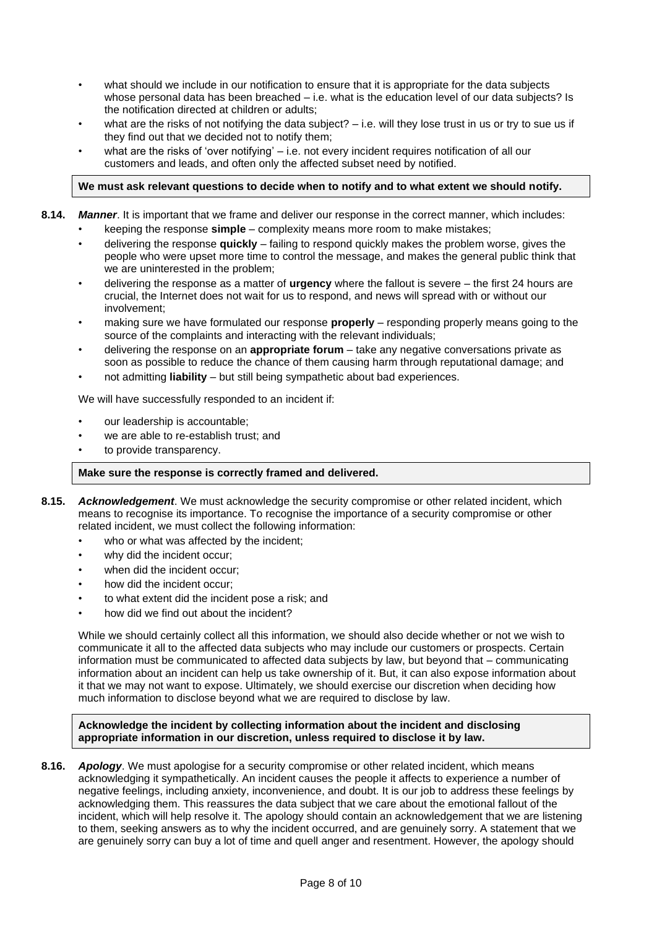- what should we include in our notification to ensure that it is appropriate for the data subjects whose personal data has been breached – i.e. what is the education level of our data subjects? Is the notification directed at children or adults;
- what are the risks of not notifying the data subject?  $-$  i.e. will they lose trust in us or try to sue us if they find out that we decided not to notify them;
- what are the risks of 'over notifying' i.e. not every incident requires notification of all our customers and leads, and often only the affected subset need by notified.

## **We must ask relevant questions to decide when to notify and to what extent we should notify.**

- **8.14.** *Manner*. It is important that we frame and deliver our response in the correct manner, which includes:
	- keeping the response **simple** complexity means more room to make mistakes;
	- delivering the response **quickly** failing to respond quickly makes the problem worse, gives the people who were upset more time to control the message, and makes the general public think that we are uninterested in the problem;
	- delivering the response as a matter of **urgency** where the fallout is severe the first 24 hours are crucial, the Internet does not wait for us to respond, and news will spread with or without our involvement;
	- making sure we have formulated our response **properly** responding properly means going to the source of the complaints and interacting with the relevant individuals;
	- delivering the response on an **appropriate forum** take any negative conversations private as soon as possible to reduce the chance of them causing harm through reputational damage; and
	- not admitting **liability** but still being sympathetic about bad experiences.

We will have successfully responded to an incident if:

- our leadership is accountable:
- we are able to re-establish trust; and
- to provide transparency.

#### **Make sure the response is correctly framed and delivered.**

- **8.15.** *Acknowledgement*. We must acknowledge the security compromise or other related incident, which means to recognise its importance. To recognise the importance of a security compromise or other related incident, we must collect the following information:
	- who or what was affected by the incident;
	- why did the incident occur;
	- when did the incident occur:
	- how did the incident occur;
	- to what extent did the incident pose a risk; and
	- how did we find out about the incident?

While we should certainly collect all this information, we should also decide whether or not we wish to communicate it all to the affected data subjects who may include our customers or prospects. Certain information must be communicated to affected data subjects by law, but beyond that – communicating information about an incident can help us take ownership of it. But, it can also expose information about it that we may not want to expose. Ultimately, we should exercise our discretion when deciding how much information to disclose beyond what we are required to disclose by law.

#### **Acknowledge the incident by collecting information about the incident and disclosing appropriate information in our discretion, unless required to disclose it by law.**

**8.16.** *Apology*. We must apologise for a security compromise or other related incident, which means acknowledging it sympathetically. An incident causes the people it affects to experience a number of negative feelings, including anxiety, inconvenience, and doubt. It is our job to address these feelings by acknowledging them. This reassures the data subject that we care about the emotional fallout of the incident, which will help resolve it. The apology should contain an acknowledgement that we are listening to them, seeking answers as to why the incident occurred, and are genuinely sorry. A statement that we are genuinely sorry can buy a lot of time and quell anger and resentment. However, the apology should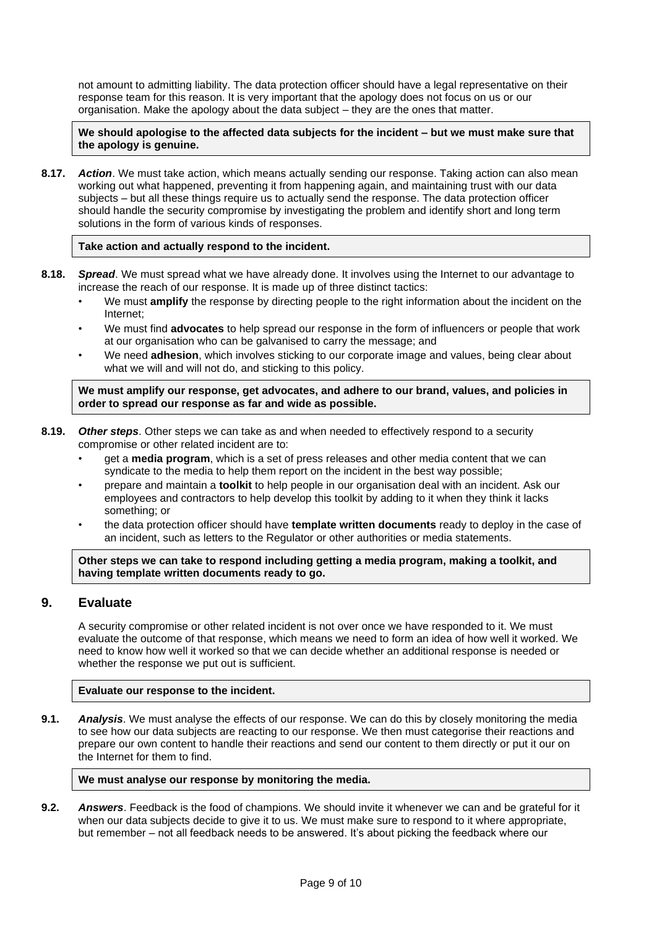not amount to admitting liability. The data protection officer should have a legal representative on their response team for this reason. It is very important that the apology does not focus on us or our organisation. Make the apology about the data subject – they are the ones that matter.

**We should apologise to the affected data subjects for the incident – but we must make sure that the apology is genuine.**

**8.17.** *Action*. We must take action, which means actually sending our response. Taking action can also mean working out what happened, preventing it from happening again, and maintaining trust with our data subjects – but all these things require us to actually send the response. The data protection officer should handle the security compromise by investigating the problem and identify short and long term solutions in the form of various kinds of responses.

#### **Take action and actually respond to the incident.**

- **8.18.** *Spread*. We must spread what we have already done. It involves using the Internet to our advantage to increase the reach of our response. It is made up of three distinct tactics:
	- We must **amplify** the response by directing people to the right information about the incident on the Internet;
	- We must find **advocates** to help spread our response in the form of influencers or people that work at our organisation who can be galvanised to carry the message; and
	- We need **adhesion**, which involves sticking to our corporate image and values, being clear about what we will and will not do, and sticking to this policy.

**We must amplify our response, get advocates, and adhere to our brand, values, and policies in order to spread our response as far and wide as possible.**

- **8.19.** *Other steps*. Other steps we can take as and when needed to effectively respond to a security compromise or other related incident are to:
	- get a **media program**, which is a set of press releases and other media content that we can syndicate to the media to help them report on the incident in the best way possible;
	- prepare and maintain a **toolkit** to help people in our organisation deal with an incident. Ask our employees and contractors to help develop this toolkit by adding to it when they think it lacks something; or
	- the data protection officer should have **template written documents** ready to deploy in the case of an incident, such as letters to the Regulator or other authorities or media statements.

**Other steps we can take to respond including getting a media program, making a toolkit, and having template written documents ready to go.**

# **9. Evaluate**

A security compromise or other related incident is not over once we have responded to it. We must evaluate the outcome of that response, which means we need to form an idea of how well it worked. We need to know how well it worked so that we can decide whether an additional response is needed or whether the response we put out is sufficient.

#### **Evaluate our response to the incident.**

**9.1.** *Analysis*. We must analyse the effects of our response. We can do this by closely monitoring the media to see how our data subjects are reacting to our response. We then must categorise their reactions and prepare our own content to handle their reactions and send our content to them directly or put it our on the Internet for them to find.

#### **We must analyse our response by monitoring the media.**

**9.2.** *Answers*. Feedback is the food of champions. We should invite it whenever we can and be grateful for it when our data subjects decide to give it to us. We must make sure to respond to it where appropriate, but remember – not all feedback needs to be answered. It's about picking the feedback where our